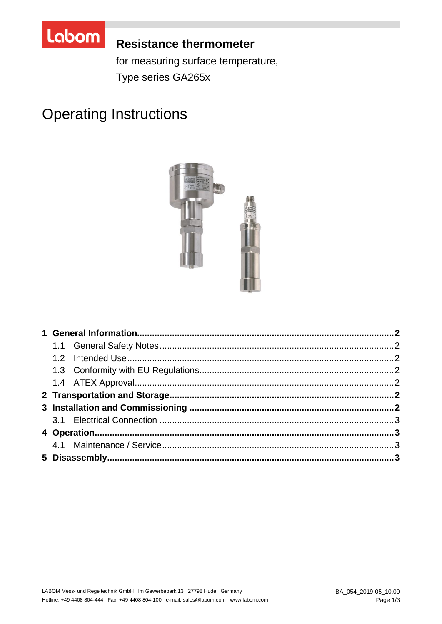

# **Resistance thermometer**

for measuring surface temperature, Type series GA265x

# **Operating Instructions**

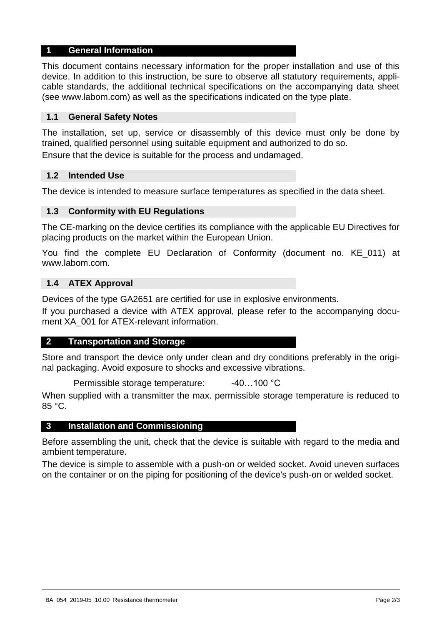#### **1 General Information**

This document contains necessary information for the proper installation and use of this device. In addition to this instruction, be sure to observe all statutory requirements, applicable standards, the additional technical specifications on the accompanying data sheet (see www.labom.com) as well as the specifications indicated on the type plate.

#### **1.1 General Safety Notes**

The installation, set up, service or disassembly of this device must only be done by trained, qualified personnel using suitable equipment and authorized to do so.

Ensure that the device is suitable for the process and undamaged.

#### **1.2 Intended Use**

The device is intended to measure surface temperatures as specified in the data sheet.

#### **1.3 Conformity with EU Regulations**

The CE-marking on the device certifies its compliance with the applicable EU Directives for placing products on the market within the European Union.

You find the complete EU Declaration of Conformity (document no. KE\_011) at www.labom.com.

#### **1.4 ATEX Approval**

Devices of the type GA2651 are certified for use in explosive environments.

If you purchased a device with ATEX approval, please refer to the accompanying document XA\_001 for ATEX-relevant information.

#### **2 Transportation and Storage**

Store and transport the device only under clean and dry conditions preferably in the original packaging. Avoid exposure to shocks and excessive vibrations.

Permissible storage temperature: -40...100 °C

When supplied with a transmitter the max. permissible storage temperature is reduced to 85 °C.

#### **3 Installation and Commissioning**

Before assembling the unit, check that the device is suitable with regard to the media and ambient temperature.

The device is simple to assemble with a push-on or welded socket. Avoid uneven surfaces on the container or on the piping for positioning of the device's push-on or welded socket.